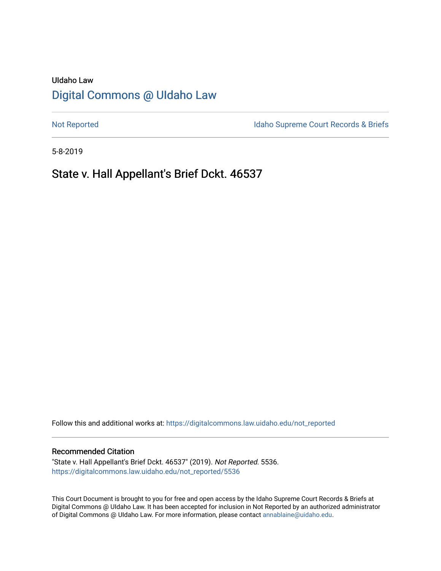# UIdaho Law [Digital Commons @ UIdaho Law](https://digitalcommons.law.uidaho.edu/)

[Not Reported](https://digitalcommons.law.uidaho.edu/not_reported) **Idaho Supreme Court Records & Briefs** 

5-8-2019

## State v. Hall Appellant's Brief Dckt. 46537

Follow this and additional works at: [https://digitalcommons.law.uidaho.edu/not\\_reported](https://digitalcommons.law.uidaho.edu/not_reported?utm_source=digitalcommons.law.uidaho.edu%2Fnot_reported%2F5536&utm_medium=PDF&utm_campaign=PDFCoverPages) 

#### Recommended Citation

"State v. Hall Appellant's Brief Dckt. 46537" (2019). Not Reported. 5536. [https://digitalcommons.law.uidaho.edu/not\\_reported/5536](https://digitalcommons.law.uidaho.edu/not_reported/5536?utm_source=digitalcommons.law.uidaho.edu%2Fnot_reported%2F5536&utm_medium=PDF&utm_campaign=PDFCoverPages)

This Court Document is brought to you for free and open access by the Idaho Supreme Court Records & Briefs at Digital Commons @ UIdaho Law. It has been accepted for inclusion in Not Reported by an authorized administrator of Digital Commons @ UIdaho Law. For more information, please contact [annablaine@uidaho.edu](mailto:annablaine@uidaho.edu).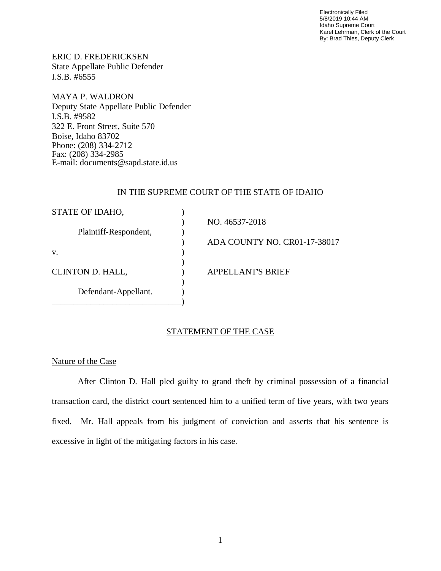Electronically Filed 5/8/2019 10:44 AM Idaho Supreme Court Karel Lehrman, Clerk of the Court By: Brad Thies, Deputy Clerk

ERIC D. FREDERICKSEN State Appellate Public Defender I.S.B. #6555

MAYA P. WALDRON Deputy State Appellate Public Defender I.S.B. #9582 322 E. Front Street, Suite 570 Boise, Idaho 83702 Phone: (208) 334-2712 Fax: (208) 334-2985 E-mail: documents@sapd.state.id.us

## IN THE SUPREME COURT OF THE STATE OF IDAHO

| STATE OF IDAHO,       |                              |
|-----------------------|------------------------------|
|                       | NO. 46537-2018               |
| Plaintiff-Respondent, |                              |
|                       | ADA COUNTY NO. CR01-17-38017 |
| V.                    |                              |
|                       |                              |
| CLINTON D. HALL,      | <b>APPELLANT'S BRIEF</b>     |
|                       |                              |
| Defendant-Appellant.  |                              |
|                       |                              |

## STATEMENT OF THE CASE

## Nature of the Case

After Clinton D. Hall pled guilty to grand theft by criminal possession of a financial transaction card, the district court sentenced him to a unified term of five years, with two years fixed. Mr. Hall appeals from his judgment of conviction and asserts that his sentence is excessive in light of the mitigating factors in his case.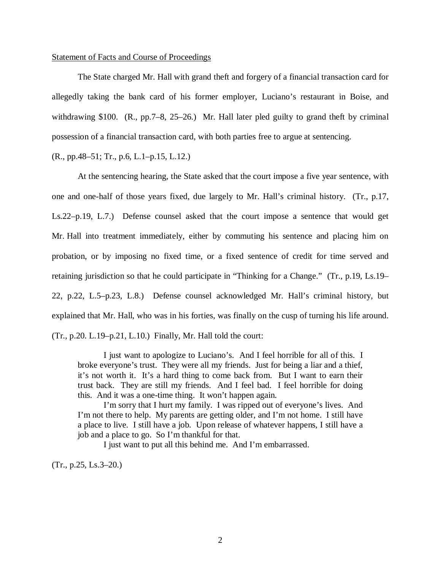### Statement of Facts and Course of Proceedings

The State charged Mr. Hall with grand theft and forgery of a financial transaction card for allegedly taking the bank card of his former employer, Luciano's restaurant in Boise, and withdrawing \$100. (R., pp.7–8, 25–26.) Mr. Hall later pled guilty to grand theft by criminal possession of a financial transaction card, with both parties free to argue at sentencing.

(R., pp.48–51; Tr., p.6, L.1–p.15, L.12.)

At the sentencing hearing, the State asked that the court impose a five year sentence, with one and one-half of those years fixed, due largely to Mr. Hall's criminal history. (Tr., p.17, Ls.22–p.19, L.7.) Defense counsel asked that the court impose a sentence that would get Mr. Hall into treatment immediately, either by commuting his sentence and placing him on probation, or by imposing no fixed time, or a fixed sentence of credit for time served and retaining jurisdiction so that he could participate in "Thinking for a Change." (Tr., p.19, Ls.19– 22, p.22, L.5–p.23, L.8.) Defense counsel acknowledged Mr. Hall's criminal history, but explained that Mr. Hall, who was in his forties, was finally on the cusp of turning his life around. (Tr., p.20. L.19–p.21, L.10.) Finally, Mr. Hall told the court:

I just want to apologize to Luciano's. And I feel horrible for all of this. I broke everyone's trust. They were all my friends. Just for being a liar and a thief, it's not worth it. It's a hard thing to come back from. But I want to earn their trust back. They are still my friends. And I feel bad. I feel horrible for doing this. And it was a one-time thing. It won't happen again.

I'm sorry that I hurt my family. I was ripped out of everyone's lives. And I'm not there to help. My parents are getting older, and I'm not home. I still have a place to live. I still have a job. Upon release of whatever happens, I still have a job and a place to go. So I'm thankful for that.

I just want to put all this behind me. And I'm embarrassed.

(Tr., p.25, Ls.3–20.)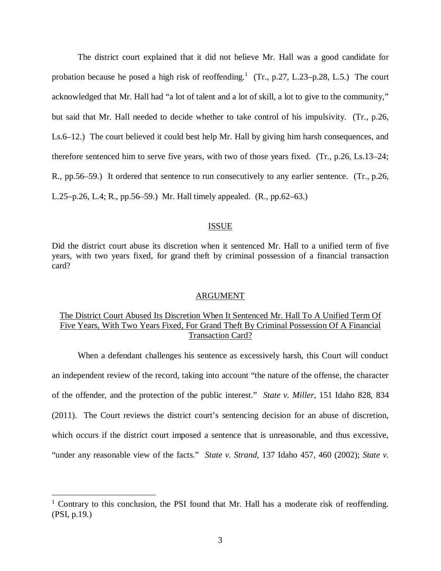The district court explained that it did not believe Mr. Hall was a good candidate for probation because he posed a high risk of reoffending.<sup>1</sup> (Tr., p.27, L.23–p.28, L.5.) The court acknowledged that Mr. Hall had "a lot of talent and a lot of skill, a lot to give to the community," but said that Mr. Hall needed to decide whether to take control of his impulsivity. (Tr., p.26, Ls.6–12.) The court believed it could best help Mr. Hall by giving him harsh consequences, and therefore sentenced him to serve five years, with two of those years fixed. (Tr., p.26, Ls.13–24; R., pp.56–59.) It ordered that sentence to run consecutively to any earlier sentence. (Tr., p.26, L.25–p.26, L.4; R., pp.56–59.) Mr. Hall timely appealed. (R., pp.62–63.)

### ISSUE

Did the district court abuse its discretion when it sentenced Mr. Hall to a unified term of five years, with two years fixed, for grand theft by criminal possession of a financial transaction card?

#### ARGUMENT

## The District Court Abused Its Discretion When It Sentenced Mr. Hall To A Unified Term Of Five Years, With Two Years Fixed, For Grand Theft By Criminal Possession Of A Financial Transaction Card?

When a defendant challenges his sentence as excessively harsh, this Court will conduct an independent review of the record, taking into account "the nature of the offense, the character of the offender, and the protection of the public interest." *State v. Miller*, 151 Idaho 828, 834 (2011). The Court reviews the district court's sentencing decision for an abuse of discretion, which occurs if the district court imposed a sentence that is unreasonable, and thus excessive, "under any reasonable view of the facts." *State v. Strand*, 137 Idaho 457, 460 (2002); *State v.*

<sup>&</sup>lt;sup>1</sup> Contrary to this conclusion, the PSI found that Mr. Hall has a moderate risk of reoffending. (PSI, p.19.)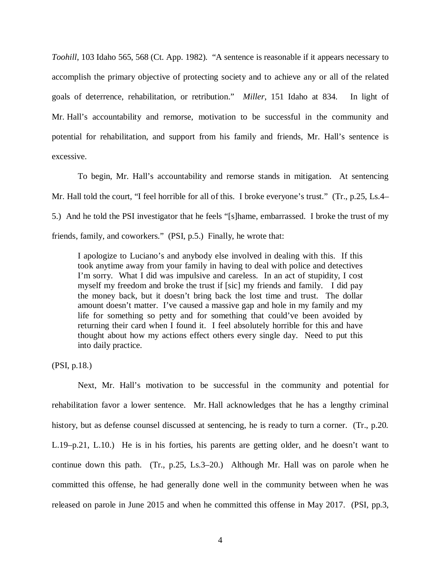*Toohill*, 103 Idaho 565, 568 (Ct. App. 1982). "A sentence is reasonable if it appears necessary to accomplish the primary objective of protecting society and to achieve any or all of the related goals of deterrence, rehabilitation, or retribution." *Miller*, 151 Idaho at 834. In light of Mr. Hall's accountability and remorse, motivation to be successful in the community and potential for rehabilitation, and support from his family and friends, Mr. Hall's sentence is excessive.

To begin, Mr. Hall's accountability and remorse stands in mitigation. At sentencing Mr. Hall told the court, "I feel horrible for all of this. I broke everyone's trust." (Tr., p.25, Ls.4– 5.) And he told the PSI investigator that he feels "[s]hame, embarrassed. I broke the trust of my friends, family, and coworkers." (PSI, p.5.) Finally, he wrote that:

I apologize to Luciano's and anybody else involved in dealing with this. If this took anytime away from your family in having to deal with police and detectives I'm sorry. What I did was impulsive and careless. In an act of stupidity, I cost myself my freedom and broke the trust if [sic] my friends and family. I did pay the money back, but it doesn't bring back the lost time and trust. The dollar amount doesn't matter. I've caused a massive gap and hole in my family and my life for something so petty and for something that could've been avoided by returning their card when I found it. I feel absolutely horrible for this and have thought about how my actions effect others every single day. Need to put this into daily practice.

(PSI, p.18.)

Next, Mr. Hall's motivation to be successful in the community and potential for rehabilitation favor a lower sentence. Mr. Hall acknowledges that he has a lengthy criminal history, but as defense counsel discussed at sentencing, he is ready to turn a corner. (Tr., p.20. L.19–p.21, L.10.) He is in his forties, his parents are getting older, and he doesn't want to continue down this path. (Tr., p.25, Ls.3–20.) Although Mr. Hall was on parole when he committed this offense, he had generally done well in the community between when he was released on parole in June 2015 and when he committed this offense in May 2017. (PSI, pp.3,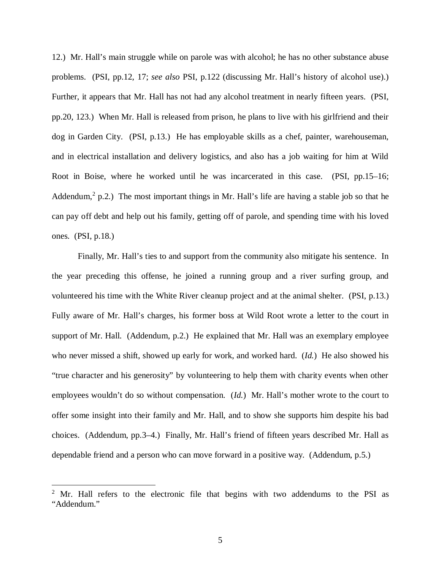12.) Mr. Hall's main struggle while on parole was with alcohol; he has no other substance abuse problems. (PSI, pp.12, 17; *see also* PSI, p.122 (discussing Mr. Hall's history of alcohol use).) Further, it appears that Mr. Hall has not had any alcohol treatment in nearly fifteen years. (PSI, pp.20, 123.) When Mr. Hall is released from prison, he plans to live with his girlfriend and their dog in Garden City. (PSI, p.13.) He has employable skills as a chef, painter, warehouseman, and in electrical installation and delivery logistics, and also has a job waiting for him at Wild Root in Boise, where he worked until he was incarcerated in this case. (PSI, pp.15–16; Addendum,<sup>2</sup> p.2.) The most important things in Mr. Hall's life are having a stable job so that he can pay off debt and help out his family, getting off of parole, and spending time with his loved ones. (PSI, p.18.)

Finally, Mr. Hall's ties to and support from the community also mitigate his sentence. In the year preceding this offense, he joined a running group and a river surfing group, and volunteered his time with the White River cleanup project and at the animal shelter. (PSI, p.13.) Fully aware of Mr. Hall's charges, his former boss at Wild Root wrote a letter to the court in support of Mr. Hall. (Addendum, p.2.) He explained that Mr. Hall was an exemplary employee who never missed a shift, showed up early for work, and worked hard. (*Id.*) He also showed his "true character and his generosity" by volunteering to help them with charity events when other employees wouldn't do so without compensation. (*Id.*) Mr. Hall's mother wrote to the court to offer some insight into their family and Mr. Hall, and to show she supports him despite his bad choices. (Addendum, pp.3–4.) Finally, Mr. Hall's friend of fifteen years described Mr. Hall as dependable friend and a person who can move forward in a positive way. (Addendum, p.5.)

 $2$  Mr. Hall refers to the electronic file that begins with two addendums to the PSI as "Addendum."